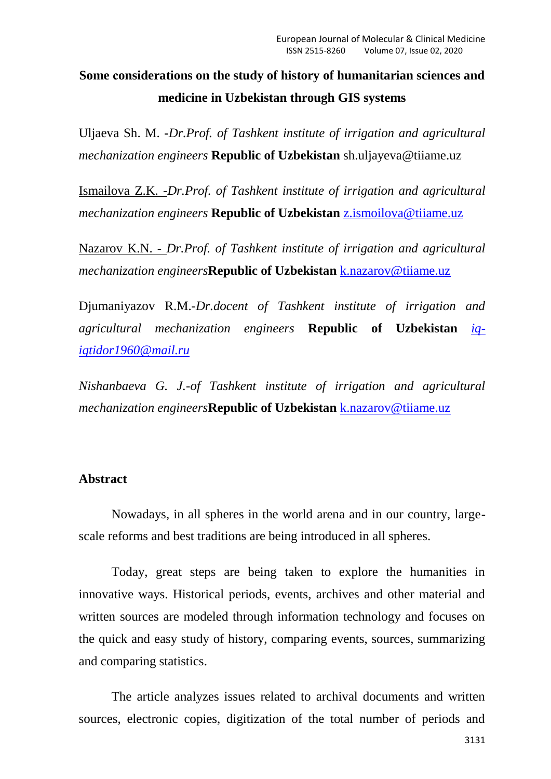## **Some сonsiderations on the study of history of humanitarian sciences and medicine in Uzbekistan through GIS systems**

Uljaeva Sh. M. **-***Dr.Prof. of Tashkent institute of irrigation and agricultural mechanization engineers* **Republic of Uzbekistan** [sh.uljayeva@tiiame.uz](http://mailto:sh.uljayeva@tiiame.uz/)

Ismailova Z.K. -*Dr.Prof. of Tashkent institute of irrigation and agricultural mechanization engineers* **Republic of Uzbekistan** [z.ismoilova@tiiame.uz](mailto:z.ismoilova@tiiame.uz)

Nazarov K.N. - *Dr.Prof. of Tashkent institute of irrigation and agricultural mechanization engineers***Republic of Uzbekistan** [k.nazarov@tiiame.uz](mailto:k.nazarov@tiiame.uz)

Djumaniyazov R.M.-*Dr.docent of Tashkent institute of irrigation and agricultural mechanization engineers* **Republic of Uzbekistan** *[iq](mailto:iq-iqtidor1960@mail.ru)[iqtidor1960@mail.ru](mailto:iq-iqtidor1960@mail.ru)*

*Nishanbaeva G. J.-of Tashkent institute of irrigation and agricultural mechanization engineers***Republic of Uzbekistan** [k.nazarov@tiiame.uz](mailto:k.nazarov@tiiame.uz)

## **Abstract**

Nowadays, in all spheres in the world arena and in our country, largescale reforms and best traditions are being introduced in all spheres.

Today, great steps are being taken to explore the humanities in innovative ways. Historical periods, events, archives and other material and written sources are modeled through information technology and focuses on the quick and easy study of history, comparing events, sources, summarizing and comparing statistics.

The article analyzes issues related to archival documents and written sources, electronic copies, digitization of the total number of periods and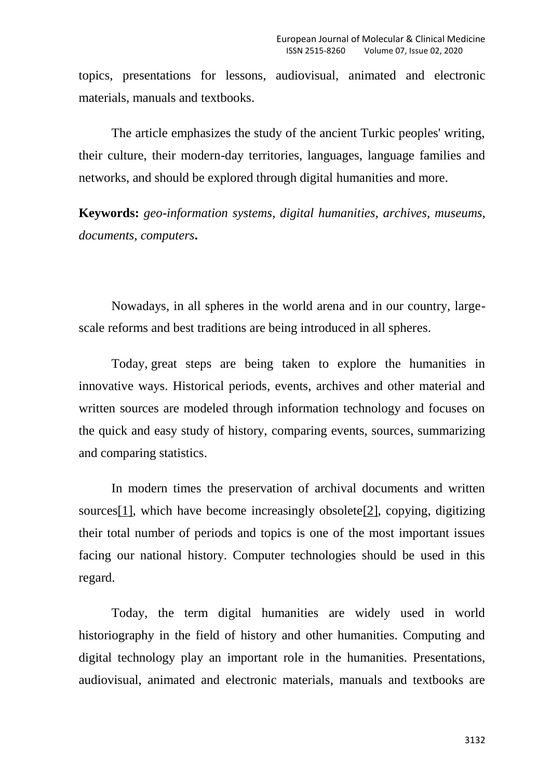topics, presentations for lessons, audiovisual, animated and electronic materials, manuals and textbooks.

The article emphasizes the study of the ancient Turkic peoples' writing, their culture, their modern-day territories, languages, language families and networks, and should be explored through digital humanities and more.

**Keywords:** *geo-information systems, digital humanities, archives, museums, documents, computers***.**

Nowadays, in all spheres in the world arena and in our country, largescale reforms and best traditions are being introduced in all spheres.

Today, great steps are being taken to explore the humanities in innovative ways. Historical periods, events, archives and other material and written sources are modeled through information technology and focuses on the quick and easy study of history, comparing events, sources, summarizing and comparing statistics.

In modern times the preservation of archival documents and written source[s\[1\],](http://file/C:/Users/%D0%96%D0%B0%D1%85%D0%BE%D0%BD%D0%B3%D0%B8%D1%80_%D0%B0%D0%BA%D0%B0/Documents/scopus/Uljaeva%20Scopus%202%2018.11.2019.docx#_ftn1) which have become increasingly obsolet[e\[2\],](http://file/C:/Users/%D0%96%D0%B0%D1%85%D0%BE%D0%BD%D0%B3%D0%B8%D1%80_%D0%B0%D0%BA%D0%B0/Documents/scopus/Uljaeva%20Scopus%202%2018.11.2019.docx#_ftn2) copying, digitizing their total number of periods and topics is one of the most important issues facing our national history. Computer technologies should be used in this regard.

Today, the term digital humanities are widely used in world historiography in the field of history and other humanities. Computing and digital technology play an important role in the humanities. Presentations, audiovisual, animated and electronic materials, manuals and textbooks are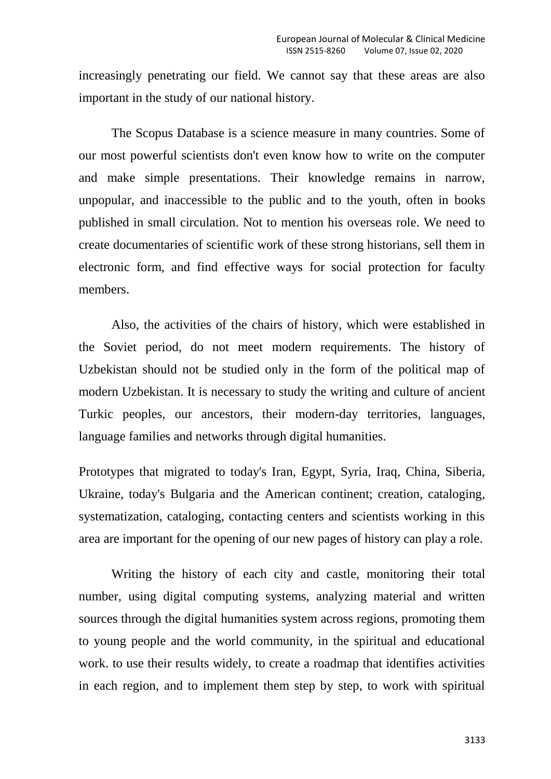increasingly penetrating our field. We cannot say that these areas are also important in the study of our national history.

The Scopus Database is a science measure in many countries. Some of our most powerful scientists don't even know how to write on the computer and make simple presentations. Their knowledge remains in narrow, unpopular, and inaccessible to the public and to the youth, often in books published in small circulation. Not to mention his overseas role. We need to create documentaries of scientific work of these strong historians, sell them in electronic form, and find effective ways for social protection for faculty members.

Also, the activities of the chairs of history, which were established in the Soviet period, do not meet modern requirements. The history of Uzbekistan should not be studied only in the form of the political map of modern Uzbekistan. It is necessary to study the writing and culture of ancient Turkic peoples, our ancestors, their modern-day territories, languages, language families and networks through digital humanities.

Prototypes that migrated to today's Iran, Egypt, Syria, Iraq, China, Siberia, Ukraine, today's Bulgaria and the American continent; creation, cataloging, systematization, cataloging, contacting centers and scientists working in this area are important for the opening of our new pages of history can play a role.

Writing the history of each city and castle, monitoring their total number, using digital computing systems, analyzing material and written sources through the digital humanities system across regions, promoting them to young people and the world community, in the spiritual and educational work. to use their results widely, to create a roadmap that identifies activities in each region, and to implement them step by step, to work with spiritual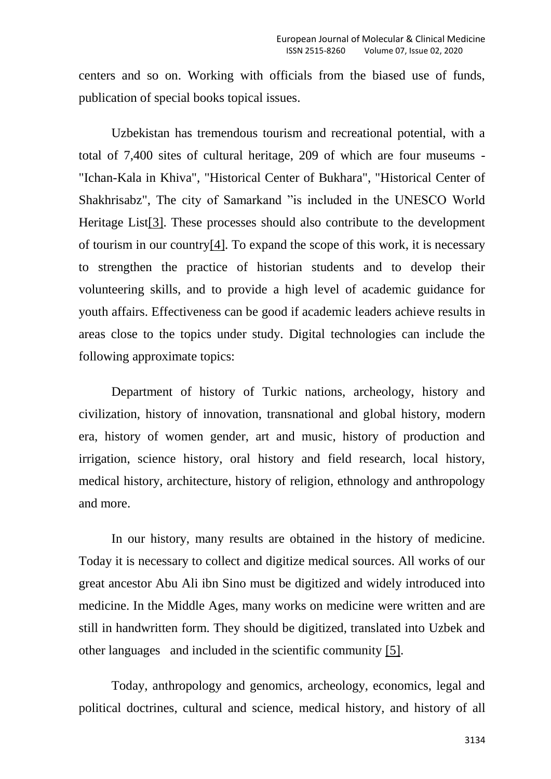centers and so on. Working with officials from the biased use of funds, publication of special books topical issues.

Uzbekistan has tremendous tourism and recreational potential, with a total of 7,400 sites of cultural heritage, 209 of which are four museums - "Ichan-Kala in Khiva", "Historical Center of Bukhara", "Historical Center of Shakhrisabz", The city of Samarkand "is included in the UNESCO World Heritage Lis[t\[3\].](http://file/C:/Users/%D0%96%D0%B0%D1%85%D0%BE%D0%BD%D0%B3%D0%B8%D1%80_%D0%B0%D0%BA%D0%B0/Documents/scopus/Uljaeva%20Scopus%202%2018.11.2019.docx#_ftn3) These processes should also contribute to the development of tourism in our countr[y\[4\].](http://file/C:/Users/%D0%96%D0%B0%D1%85%D0%BE%D0%BD%D0%B3%D0%B8%D1%80_%D0%B0%D0%BA%D0%B0/Documents/scopus/Uljaeva%20Scopus%202%2018.11.2019.docx#_ftn4) To expand the scope of this work, it is necessary to strengthen the practice of historian students and to develop their volunteering skills, and to provide a high level of academic guidance for youth affairs. Effectiveness can be good if academic leaders achieve results in areas close to the topics under study. Digital technologies can include the following approximate topics:

Department of history of Turkic nations, archeology, history and civilization, history of innovation, transnational and global history, modern era, history of women gender, art and music, history of production and irrigation, science history, oral history and field research, local history, medical history, architecture, history of religion, ethnology and anthropology and more.

In our history, many results are obtained in the history of medicine. Today it is necessary to collect and digitize medical sources. All works of our great ancestor Abu Ali ibn Sino must be digitized and widely introduced into medicine. In the Middle Ages, many works on medicine were written and are still in handwritten form. They should be digitized, translated into Uzbek and other languages and included in the scientific community [\[5\].](http://file/C:/Users/%D0%96%D0%B0%D1%85%D0%BE%D0%BD%D0%B3%D0%B8%D1%80_%D0%B0%D0%BA%D0%B0/Documents/scopus/Uljaeva%20Scopus%202%2018.11.2019.docx#_ftn5)

Today, anthropology and genomics, archeology, economics, legal and political doctrines, cultural and science, medical history, and history of all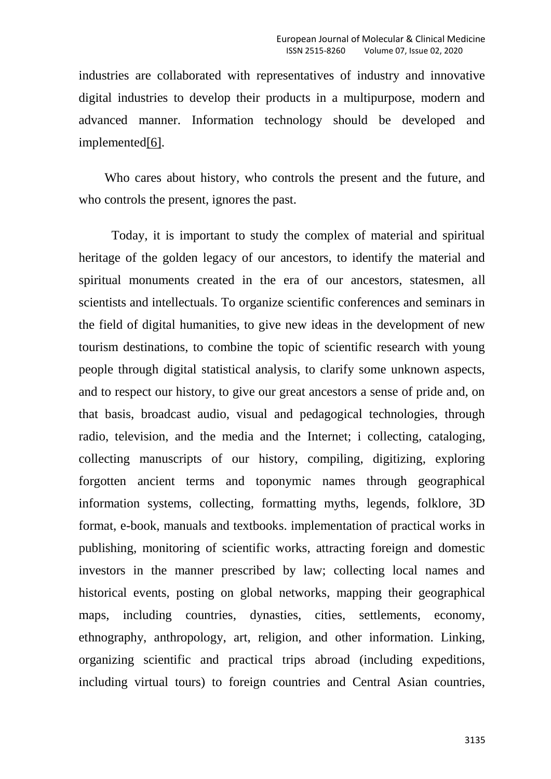industries are collaborated with representatives of industry and innovative digital industries to develop their products in a multipurpose, modern and advanced manner. Information technology should be developed and implemente[d\[6\].](http://file/C:/Users/%D0%96%D0%B0%D1%85%D0%BE%D0%BD%D0%B3%D0%B8%D1%80_%D0%B0%D0%BA%D0%B0/Documents/scopus/Uljaeva%20Scopus%202%2018.11.2019.docx#_ftn6)

 Who cares about history, who controls the present and the future, and who controls the present, ignores the past.

Today, it is important to study the complex of material and spiritual heritage of the golden legacy of our ancestors, to identify the material and spiritual monuments created in the era of our ancestors, statesmen, all scientists and intellectuals. To organize scientific conferences and seminars in the field of digital humanities, to give new ideas in the development of new tourism destinations, to combine the topic of scientific research with young people through digital statistical analysis, to clarify some unknown aspects, and to respect our history, to give our great ancestors a sense of pride and, on that basis, broadcast audio, visual and pedagogical technologies, through radio, television, and the media and the Internet; i collecting, cataloging, collecting manuscripts of our history, compiling, digitizing, exploring forgotten ancient terms and toponymic names through geographical information systems, collecting, formatting myths, legends, folklore, 3D format, e-book, manuals and textbooks. implementation of practical works in publishing, monitoring of scientific works, attracting foreign and domestic investors in the manner prescribed by law; collecting local names and historical events, posting on global networks, mapping their geographical maps, including countries, dynasties, cities, settlements, economy, ethnography, anthropology, art, religion, and other information. Linking, organizing scientific and practical trips abroad (including expeditions, including virtual tours) to foreign countries and Central Asian countries,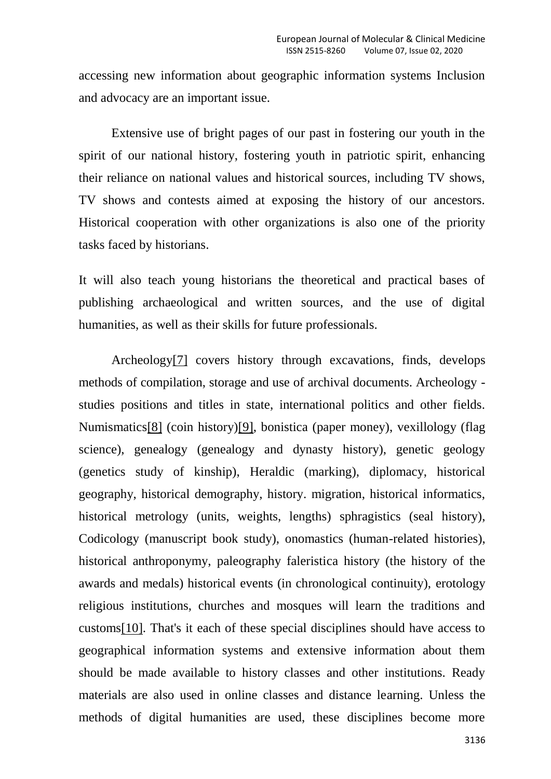accessing new information about geographic information systems Inclusion and advocacy are an important issue.

Extensive use of bright pages of our past in fostering our youth in the spirit of our national history, fostering youth in patriotic spirit, enhancing their reliance on national values and historical sources, including TV shows, TV shows and contests aimed at exposing the history of our ancestors. Historical cooperation with other organizations is also one of the priority tasks faced by historians.

It will also teach young historians the theoretical and practical bases of publishing archaeological and written sources, and the use of digital humanities, as well as their skills for future professionals.

Archeolog[y\[7\]](http://file/C:/Users/%D0%96%D0%B0%D1%85%D0%BE%D0%BD%D0%B3%D0%B8%D1%80_%D0%B0%D0%BA%D0%B0/Documents/scopus/Uljaeva%20Scopus%202%2018.11.2019.docx#_ftn7) covers history through excavations, finds, develops methods of compilation, storage and use of archival documents. Archeology studies positions and titles in state, international politics and other fields. Numismatic[s\[8\]](http://file/C:/Users/%D0%96%D0%B0%D1%85%D0%BE%D0%BD%D0%B3%D0%B8%D1%80_%D0%B0%D0%BA%D0%B0/Documents/scopus/Uljaeva%20Scopus%202%2018.11.2019.docx#_ftn8) (coin history[\)\[9\],](http://file/C:/Users/%D0%96%D0%B0%D1%85%D0%BE%D0%BD%D0%B3%D0%B8%D1%80_%D0%B0%D0%BA%D0%B0/Documents/scopus/Uljaeva%20Scopus%202%2018.11.2019.docx#_ftn9) bonistica (paper money), vexillology (flag science), genealogy (genealogy and dynasty history), genetic geology (genetics study of kinship), Heraldic (marking), diplomacy, historical geography, historical demography, history. migration, historical informatics, historical metrology (units, weights, lengths) sphragistics (seal history), Codicology (manuscript book study), onomastics (human-related histories), historical anthroponymy, paleography faleristica history (the history of the awards and medals) historical events (in chronological continuity), erotology religious institutions, churches and mosques will learn the traditions and custom[s\[10\].](http://file/C:/Users/%D0%96%D0%B0%D1%85%D0%BE%D0%BD%D0%B3%D0%B8%D1%80_%D0%B0%D0%BA%D0%B0/Documents/scopus/Uljaeva%20Scopus%202%2018.11.2019.docx#_ftn10) That's it each of these special disciplines should have access to geographical information systems and extensive information about them should be made available to history classes and other institutions. Ready materials are also used in online classes and distance learning. Unless the methods of digital humanities are used, these disciplines become more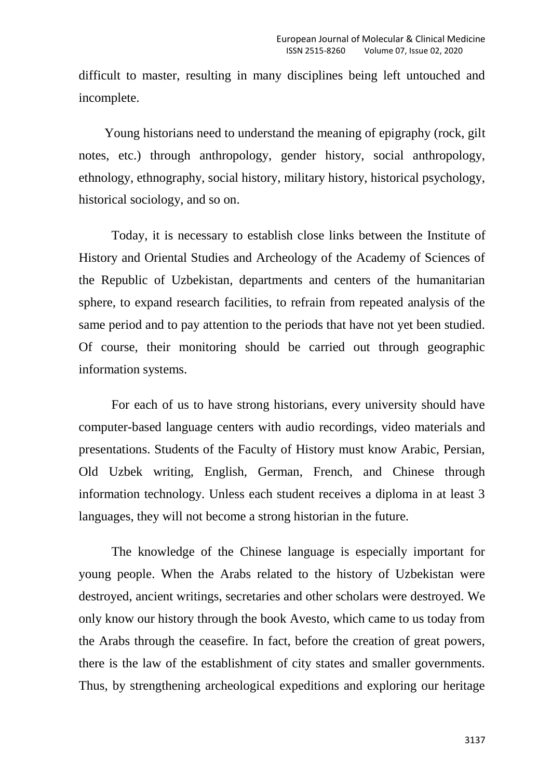difficult to master, resulting in many disciplines being left untouched and incomplete.

 Young historians need to understand the meaning of epigraphy (rock, gilt notes, etc.) through anthropology, gender history, social anthropology, ethnology, ethnography, social history, military history, historical psychology, historical sociology, and so on.

Today, it is necessary to establish close links between the Institute of History and Oriental Studies and Archeology of the Academy of Sciences of the Republic of Uzbekistan, departments and centers of the humanitarian sphere, to expand research facilities, to refrain from repeated analysis of the same period and to pay attention to the periods that have not yet been studied. Of course, their monitoring should be carried out through geographic information systems.

For each of us to have strong historians, every university should have computer-based language centers with audio recordings, video materials and presentations. Students of the Faculty of History must know Arabic, Persian, Old Uzbek writing, English, German, French, and Chinese through information technology. Unless each student receives a diploma in at least 3 languages, they will not become a strong historian in the future.

The knowledge of the Chinese language is especially important for young people. When the Arabs related to the history of Uzbekistan were destroyed, ancient writings, secretaries and other scholars were destroyed. We only know our history through the book Avesto, which came to us today from the Arabs through the ceasefire. In fact, before the creation of great powers, there is the law of the establishment of city states and smaller governments. Thus, by strengthening archeological expeditions and exploring our heritage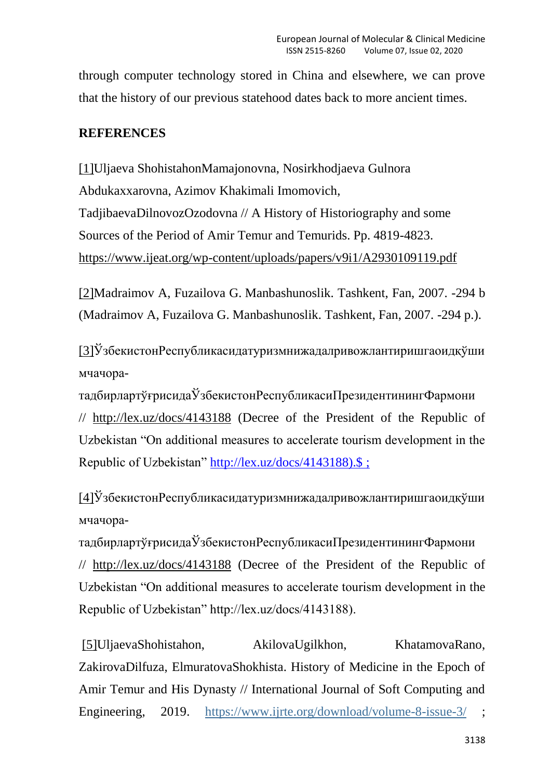through computer technology stored in China and elsewhere, we can prove that the history of our previous statehood dates back to more ancient times.

## **REFERENCES**

[\[1\]U](http://file/C:/Users/%D0%96%D0%B0%D1%85%D0%BE%D0%BD%D0%B3%D0%B8%D1%80_%D0%B0%D0%BA%D0%B0/Documents/scopus/Uljaeva%20Scopus%202%2018.11.2019.docx#_ftnref2)ljaeva ShohistahonMamajonovna, Nosirkhodjaeva Gulnora Abdukaxxarovna, Azimov Khakimali Imomovich, TadjibaevaDilnovozOzodovna // A History of Historiography and some Sources of the Period of Amir Temur and Temurids. Pp. 4819-4823. <https://www.ijeat.org/wp-content/uploads/papers/v9i1/A2930109119.pdf>

[\[2\]M](http://file/C:/Users/%D0%96%D0%B0%D1%85%D0%BE%D0%BD%D0%B3%D0%B8%D1%80_%D0%B0%D0%BA%D0%B0/Documents/scopus/Uljaeva%20Scopus%202%2018.11.2019.docx#_ftnref2)adraimov A, Fuzailova G. Manbashunoslik. Tashkent, Fan, 2007. -294 b (Madraimov A, Fuzailova G. Manbashunoslik. Tashkent, Fan, 2007. -294 p.).

[\[3\]Ў](http://file/C:/Users/%D0%96%D0%B0%D1%85%D0%BE%D0%BD%D0%B3%D0%B8%D1%80_%D0%B0%D0%BA%D0%B0/Documents/scopus/Uljaeva%20Scopus%202%2018.11.2019.docx#_ftnref3)збекистонРеспубликасидатуризмнижадалривожлантиришгаоидқўши мчачора-

тадбирлартўғрисидаЎзбекистонРеспубликасиПрезидентинингФармони // <http://lex.uz/docs/4143188> (Decree of the President of the Republic of Uzbekistan "On additional measures to accelerate tourism development in the Republic of Uzbekistan" [http://lex.uz/docs/4143188\).\\$](http://lex.uz/docs/4143188).$) ;

[\[4\]Ў](http://file/C:/Users/%D0%96%D0%B0%D1%85%D0%BE%D0%BD%D0%B3%D0%B8%D1%80_%D0%B0%D0%BA%D0%B0/Documents/scopus/Uljaeva%20Scopus%202%2018.11.2019.docx#_ftnref4)збекистонРеспубликасидатуризмнижадалривожлантиришгаоидқўши мчачора-

тадбирлартўғрисидаЎзбекистонРеспубликасиПрезидентинингФармони // <http://lex.uz/docs/4143188> (Decree of the President of the Republic of Uzbekistan "On additional measures to accelerate tourism development in the Republic of Uzbekistan" http://lex.uz/docs/4143188).

[\[5\]U](http://file/C:/Users/%D0%96%D0%B0%D1%85%D0%BE%D0%BD%D0%B3%D0%B8%D1%80_%D0%B0%D0%BA%D0%B0/Documents/scopus/Uljaeva%20Scopus%202%2018.11.2019.docx#_ftnref5)ljaevaShohistahon, AkilovaUgilkhon, KhatamovaRano, ZakirovaDilfuza, ElmuratovaShokhista. History of Medicine in the Epoch of Amir Temur and His Dynasty // International Journal of Soft Computing and Engineering, 2019. <https://www.ijrte.org/download/volume-8-issue-3/>;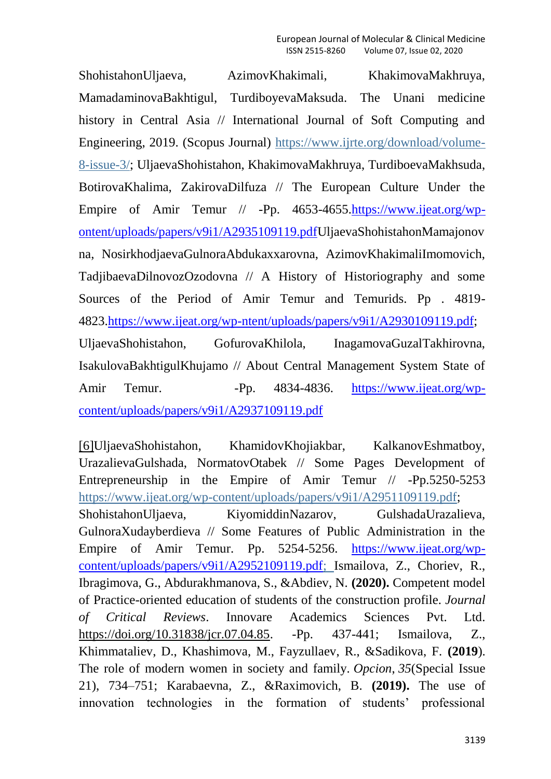ShohistahonUljaeva, AzimovKhakimali, KhakimovaMakhruya, MamadaminovaBakhtigul, TurdiboyevaMaksuda. The Unani medicine history in Central Asia // International Journal of Soft Computing and Engineering, 2019. (Scopus Journal) [https://www.ijrte.org/download/volume-](https://www.ijrte.org/download/volume-8-issue-3/)[8-issue-3/;](https://www.ijrte.org/download/volume-8-issue-3/) UljaevaShohistahon, KhakimovaMakhruya, TurdiboevaMakhsuda, BotirovaKhalima, ZakirovaDilfuza // The European Culture Under the Empire of Amir Temur // -Pp. 4653-4655[.https://www.ijeat.org/wp](https://www.ijeat.org/wp-ontent/uploads/papers/v9i1/A2935109119.pdf)[ontent/uploads/papers/v9i1/A2935109119.pdfU](https://www.ijeat.org/wp-ontent/uploads/papers/v9i1/A2935109119.pdf)ljaevaShohistahonMamajonov na, NosirkhodjaevaGulnoraAbdukaxxarovna, AzimovKhakimaliImomovich, TadjibaevaDilnovozOzodovna // A History of Historiography and some Sources of the Period of Amir Temur and Temurids. Pp . 4819- 4823[.https://www.ijeat.org/wp-ntent/uploads/papers/v9i1/A2930109119.pdf;](https://www.ijeat.org/wp-ntent/uploads/papers/v9i1/A2930109119.pdf) UljaevaShohistahon, GofurovaKhilola, InagamovaGuzalTakhirovna, IsakulovaBakhtigulKhujamo // About Central Management System State of Amir Temur. -Pp. 4834-4836. [https://www.ijeat.org/wp](https://www.ijeat.org/wp-content/uploads/papers/v9i1/A2937109119.pdf)[content/uploads/papers/v9i1/A2937109119.pdf](https://www.ijeat.org/wp-content/uploads/papers/v9i1/A2937109119.pdf)

[\[6\]U](http://file/C:/Users/%D0%96%D0%B0%D1%85%D0%BE%D0%BD%D0%B3%D0%B8%D1%80_%D0%B0%D0%BA%D0%B0/Documents/scopus/Uljaeva%20Scopus%202%2018.11.2019.docx#_ftnref6)ljaevaShohistahon, KhamidovKhojiakbar, KalkanovEshmatboy, UrazalievaGulshada, NormatovOtabek // Some Pages Development of Entrepreneurship in the Empire of Amir Temur // -Pp.5250-5253 [https://www.ijeat.org/wp-content/uploads/papers/v9i1/A2951109119.pdf;](https://www.ijeat.org/wp-content/uploads/papers/v9i1/A2951109119.pdf) ShohistahonUljaeva, KiyomiddinNazarov, GulshadaUrazalieva, GulnoraXudayberdieva // Some Features of Public Administration in the Empire of Amir Temur. Pp. 5254-5256. [https://www.ijeat.org/wp](https://www.ijeat.org/wp-content/uploads/papers/v9i1/A2952109119.pdf)[content/uploads/papers/v9i1/A2952109119.pdf;](https://www.ijeat.org/wp-content/uploads/papers/v9i1/A2952109119.pdf) Ismailova, Z., Choriev, R., Ibragimova, G., Abdurakhmanova, S., &Abdiev, N. **(2020).** Competent model of Practice-oriented education of students of the construction profile. *Journal of Critical Reviews*. Innovare Academics Sciences Pvt. Ltd. [https://doi.org/10.31838/jcr.07.04.85.](https://doi.org/10.31838/jcr.07.04.85) -Pp. 437-441; Ismailova, Z., Khimmataliev, D., Khashimova, M., Fayzullaev, R., &Sadikova, F. **(2019**). The role of modern women in society and family. *Opcion*, *35*(Special Issue 21), 734–751; Karabaevna, Z., &Raximovich, B. **(2019).** The use of innovation technologies in the formation of students' professional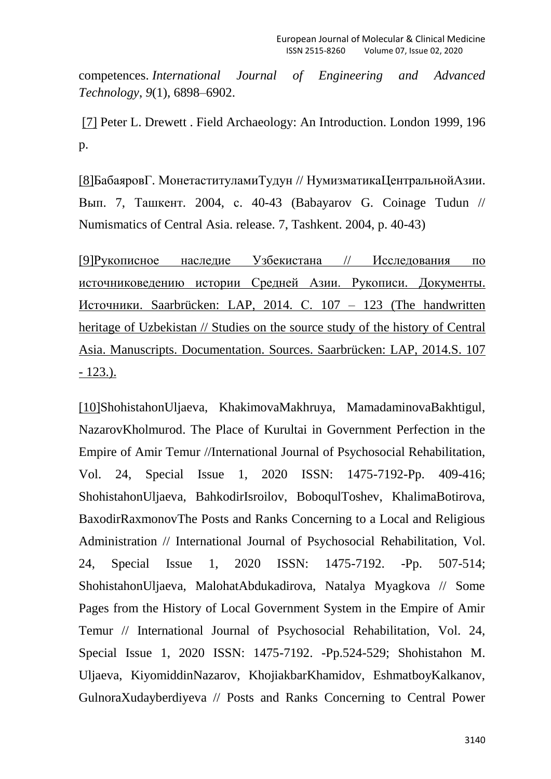competences. *International Journal of Engineering and Advanced Technology*, *9*(1), 6898–6902.

[\[7\]](http://file/C:/Users/%D0%96%D0%B0%D1%85%D0%BE%D0%BD%D0%B3%D0%B8%D1%80_%D0%B0%D0%BA%D0%B0/Documents/scopus/Uljaeva%20Scopus%202%2018.11.2019.docx#_ftnref7) Peter L. Drewett . Field Archaeology: An Introduction. London 1999, 196 p.

[\[8\]Б](http://file/C:/Users/%D0%96%D0%B0%D1%85%D0%BE%D0%BD%D0%B3%D0%B8%D1%80_%D0%B0%D0%BA%D0%B0/Documents/scopus/Uljaeva%20Scopus%202%2018.11.2019.docx#_ftnref8)абаяровГ. МонетаституламиТудун // НумизматикаЦентральнойАзии. Вып. 7, Ташкент. 2004, с. 40-43 (Babayarov G. Coinage Tudun // Numismatics of Central Asia. release. 7, Tashkent. 2004, p. 40-43)

[\[9\]Р](http://file/C:/Users/%D0%96%D0%B0%D1%85%D0%BE%D0%BD%D0%B3%D0%B8%D1%80_%D0%B0%D0%BA%D0%B0/Documents/scopus/Uljaeva%20Scopus%202%2018.11.2019.docx#_ftnref9)укописное наследие Узбекистана // [Исследования](http://file/C:/Users/%D0%96%D0%B0%D1%85%D0%BE%D0%BD%D0%B3%D0%B8%D1%80_%D0%B0%D0%BA%D0%B0/Documents/scopus/Uljaeva%20Scopus%202%2018.11.2019.docx#_ftnref9) по [источниковедению](https://www.academia.edu/38429954/%D0%A0%D1%83%D0%BA%D0%BE%D0%BF%D0%B8%D1%81%D0%BD%D0%BE%D0%B5_%D0%BD%D0%B0%D1%81%D0%BB%D0%B5%D0%B4%D0%B8%D0%B5_%D0%A3%D0%B7%D0%B1%D0%B5%D0%BA%D0%B8%D1%81%D1%82%D0%B0%D0%BD%D0%B0_%D0%98%D1%81%D1%81%D0%BB%D0%B5%D0%B4%D0%BE%D0%B2%D0%B0%D0%BD%D0%B8%D1%8F_%D0%BF%D0%BE_%D0%B8%D1%81%D1%82%D0%BE%D1%87%D0%BD%D0%B8%D0%BA%D0%BE%D0%B2%D0%B5%D0%B4%D0%B5%D0%BD%D0%B8%D1%8E_%D0%B8%D1%81%D1%82%D0%BE%D1%80%D0%B8%D0%B8_%D0%A1%D1%80%D0%B5%D0%B4%D0%BD%D0%B5%D0%B9_%D0%90%D0%B7%D0%B8%D0%B8._%D0%A0%D1%83%D0%BA%D0%BE%D0%BF%D0%B8%D1%81%D0%B8._%D0%94%D0%BE%D0%BA%D1%83%D0%BC%D0%B5%D0%BD%D1%82%D1%8B._%D0%98%D1%81%D1%82%D0%BE%D1%87%D0%BD%D0%B8%D0%BA%D0%B8._Saarbr%C3%BCcken_LAP_2014._%D0%A1._107_123) истории Средней Азии. Рукописи. Документы. Источники. [Saarbrücken:](https://www.academia.edu/38429954/%D0%A0%D1%83%D0%BA%D0%BE%D0%BF%D0%B8%D1%81%D0%BD%D0%BE%D0%B5_%D0%BD%D0%B0%D1%81%D0%BB%D0%B5%D0%B4%D0%B8%D0%B5_%D0%A3%D0%B7%D0%B1%D0%B5%D0%BA%D0%B8%D1%81%D1%82%D0%B0%D0%BD%D0%B0_%D0%98%D1%81%D1%81%D0%BB%D0%B5%D0%B4%D0%BE%D0%B2%D0%B0%D0%BD%D0%B8%D1%8F_%D0%BF%D0%BE_%D0%B8%D1%81%D1%82%D0%BE%D1%87%D0%BD%D0%B8%D0%BA%D0%BE%D0%B2%D0%B5%D0%B4%D0%B5%D0%BD%D0%B8%D1%8E_%D0%B8%D1%81%D1%82%D0%BE%D1%80%D0%B8%D0%B8_%D0%A1%D1%80%D0%B5%D0%B4%D0%BD%D0%B5%D0%B9_%D0%90%D0%B7%D0%B8%D0%B8._%D0%A0%D1%83%D0%BA%D0%BE%D0%BF%D0%B8%D1%81%D0%B8._%D0%94%D0%BE%D0%BA%D1%83%D0%BC%D0%B5%D0%BD%D1%82%D1%8B._%D0%98%D1%81%D1%82%D0%BE%D1%87%D0%BD%D0%B8%D0%BA%D0%B8._Saarbr%C3%BCcken_LAP_2014._%D0%A1._107_123) LAP, 2014. С. 107 – 123 (The handwritten heritage of [Uzbekistan](https://www.academia.edu/38429954/%D0%A0%D1%83%D0%BA%D0%BE%D0%BF%D0%B8%D1%81%D0%BD%D0%BE%D0%B5_%D0%BD%D0%B0%D1%81%D0%BB%D0%B5%D0%B4%D0%B8%D0%B5_%D0%A3%D0%B7%D0%B1%D0%B5%D0%BA%D0%B8%D1%81%D1%82%D0%B0%D0%BD%D0%B0_%D0%98%D1%81%D1%81%D0%BB%D0%B5%D0%B4%D0%BE%D0%B2%D0%B0%D0%BD%D0%B8%D1%8F_%D0%BF%D0%BE_%D0%B8%D1%81%D1%82%D0%BE%D1%87%D0%BD%D0%B8%D0%BA%D0%BE%D0%B2%D0%B5%D0%B4%D0%B5%D0%BD%D0%B8%D1%8E_%D0%B8%D1%81%D1%82%D0%BE%D1%80%D0%B8%D0%B8_%D0%A1%D1%80%D0%B5%D0%B4%D0%BD%D0%B5%D0%B9_%D0%90%D0%B7%D0%B8%D0%B8._%D0%A0%D1%83%D0%BA%D0%BE%D0%BF%D0%B8%D1%81%D0%B8._%D0%94%D0%BE%D0%BA%D1%83%D0%BC%D0%B5%D0%BD%D1%82%D1%8B._%D0%98%D1%81%D1%82%D0%BE%D1%87%D0%BD%D0%B8%D0%BA%D0%B8._Saarbr%C3%BCcken_LAP_2014._%D0%A1._107_123) // Studies on the source study of the history of Central Asia. Manuscripts. [Documentation.](https://www.academia.edu/38429954/%D0%A0%D1%83%D0%BA%D0%BE%D0%BF%D0%B8%D1%81%D0%BD%D0%BE%D0%B5_%D0%BD%D0%B0%D1%81%D0%BB%D0%B5%D0%B4%D0%B8%D0%B5_%D0%A3%D0%B7%D0%B1%D0%B5%D0%BA%D0%B8%D1%81%D1%82%D0%B0%D0%BD%D0%B0_%D0%98%D1%81%D1%81%D0%BB%D0%B5%D0%B4%D0%BE%D0%B2%D0%B0%D0%BD%D0%B8%D1%8F_%D0%BF%D0%BE_%D0%B8%D1%81%D1%82%D0%BE%D1%87%D0%BD%D0%B8%D0%BA%D0%BE%D0%B2%D0%B5%D0%B4%D0%B5%D0%BD%D0%B8%D1%8E_%D0%B8%D1%81%D1%82%D0%BE%D1%80%D0%B8%D0%B8_%D0%A1%D1%80%D0%B5%D0%B4%D0%BD%D0%B5%D0%B9_%D0%90%D0%B7%D0%B8%D0%B8._%D0%A0%D1%83%D0%BA%D0%BE%D0%BF%D0%B8%D1%81%D0%B8._%D0%94%D0%BE%D0%BA%D1%83%D0%BC%D0%B5%D0%BD%D1%82%D1%8B._%D0%98%D1%81%D1%82%D0%BE%D1%87%D0%BD%D0%B8%D0%BA%D0%B8._Saarbr%C3%BCcken_LAP_2014._%D0%A1._107_123) Sources. Saarbrücken: LAP, 2014.S. 107 - [123.\).](https://www.academia.edu/38429954/%D0%A0%D1%83%D0%BA%D0%BE%D0%BF%D0%B8%D1%81%D0%BD%D0%BE%D0%B5_%D0%BD%D0%B0%D1%81%D0%BB%D0%B5%D0%B4%D0%B8%D0%B5_%D0%A3%D0%B7%D0%B1%D0%B5%D0%BA%D0%B8%D1%81%D1%82%D0%B0%D0%BD%D0%B0_%D0%98%D1%81%D1%81%D0%BB%D0%B5%D0%B4%D0%BE%D0%B2%D0%B0%D0%BD%D0%B8%D1%8F_%D0%BF%D0%BE_%D0%B8%D1%81%D1%82%D0%BE%D1%87%D0%BD%D0%B8%D0%BA%D0%BE%D0%B2%D0%B5%D0%B4%D0%B5%D0%BD%D0%B8%D1%8E_%D0%B8%D1%81%D1%82%D0%BE%D1%80%D0%B8%D0%B8_%D0%A1%D1%80%D0%B5%D0%B4%D0%BD%D0%B5%D0%B9_%D0%90%D0%B7%D0%B8%D0%B8._%D0%A0%D1%83%D0%BA%D0%BE%D0%BF%D0%B8%D1%81%D0%B8._%D0%94%D0%BE%D0%BA%D1%83%D0%BC%D0%B5%D0%BD%D1%82%D1%8B._%D0%98%D1%81%D1%82%D0%BE%D1%87%D0%BD%D0%B8%D0%BA%D0%B8._Saarbr%C3%BCcken_LAP_2014._%D0%A1._107_123)

[\[10\]S](http://file/C:/Users/%D0%96%D0%B0%D1%85%D0%BE%D0%BD%D0%B3%D0%B8%D1%80_%D0%B0%D0%BA%D0%B0/Documents/scopus/Uljaeva%20Scopus%202%2018.11.2019.docx#_ftnref10)hohistahonUljaeva, KhakimovaMakhruya, MamadaminovaBakhtigul, NazarovKholmurod. The Place of Kurultai in Government Perfection in the Empire of Amir Temur //International Journal of Psychosocial Rehabilitation, Vol. 24, Special Issue 1, 2020 ISSN: 1475-7192-Pp. 409-416; ShohistahonUljaeva, BahkodirIsroilov, BoboqulToshev, KhalimaBotirova, BaxodirRaxmonovThe Posts and Ranks Concerning to a Local and Religious Administration // International Journal of Psychosocial Rehabilitation, Vol. 24, Special Issue 1, 2020 ISSN: 1475-7192. -Pp. 507-514; ShohistahonUljaeva, MalohatAbdukadirova, Natalya Myagkova // Some Pages from the History of Local Government System in the Empire of Amir Temur // International Journal of Psychosocial Rehabilitation, Vol. 24, Special Issue 1, 2020 ISSN: 1475-7192. -Pp.524-529; Shohistahon M. Uljaeva, KiyomiddinNazarov, KhojiakbarKhamidov, EshmatboyKalkanov, GulnoraXudayberdiyeva // Posts and Ranks Concerning to Central Power